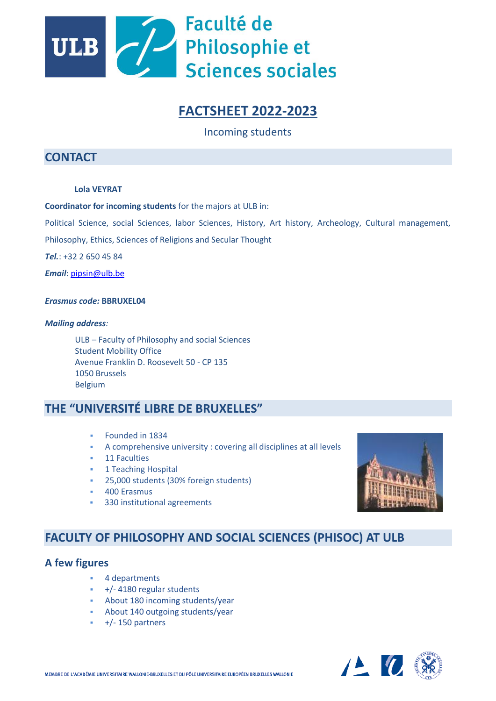

# **FACTSHEET 2022-2023**

Incoming students

# **CONTACT**

#### **Lola VEYRAT**

**Coordinator for incoming students** for the majors at ULB in:

Political Science, social Sciences, labor Sciences, History, Art history, Archeology, Cultural management,

Philosophy, Ethics, Sciences of Religions and Secular Thought

*Tel.*: +32 2 650 45 84

*Email*: [pipsin@ulb.be](mailto:pipsin@ulb.be)

#### *Erasmus code:* **BBRUXEL04**

#### *Mailing address:*

ULB – Faculty of Philosophy and social Sciences Student Mobility Office Avenue Franklin D. Roosevelt 50 - CP 135 1050 Brussels Belgium

# **THE "UNIVERSITÉ LIBRE DE BRUXELLES"**

- Founded in 1834
- A comprehensive university : covering all disciplines at all levels
- 11 Faculties
- **1 Teaching Hospital** 
	- 25,000 students (30% foreign students)
- 400 Erasmus
- 330 institutional agreements



# **FACULTY OF PHILOSOPHY AND SOCIAL SCIENCES (PHISOC) AT ULB**

### **A few figures**

- 4 departments
- +/- 4180 regular students
- About 180 incoming students/year
- About 140 outgoing students/year
- $+/- 150$  partners

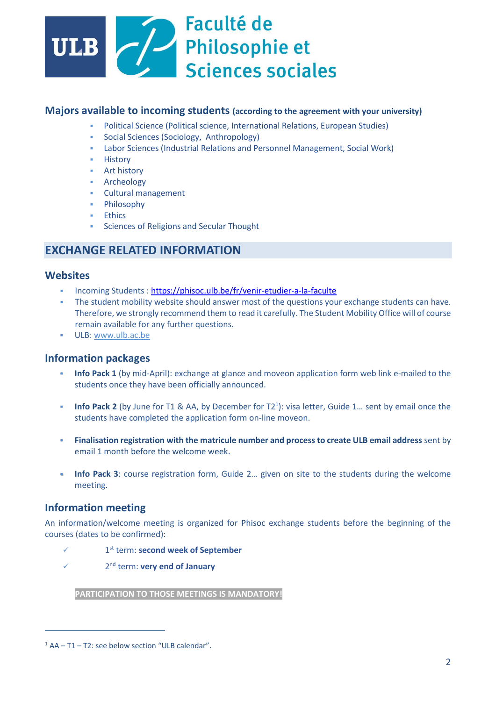

### **Majors available to incoming students (according to the agreement with your university)**

- Political Science (Political science, International Relations, European Studies)
- Social Sciences (Sociology, Anthropology)
- Labor Sciences (Industrial Relations and Personnel Management, Social Work)
- **History**
- **Art history**
- **Archeology**
- Cultural management
- Philosophy
- Ethics
- Sciences of Religions and Secular Thought

## **EXCHANGE RELATED INFORMATION**

### **Websites**

- Incoming Students :<https://phisoc.ulb.be/fr/venir-etudier-a-la-faculte>
- The student mobility website should answer most of the questions your exchange students can have. Therefore, we strongly recommend them to read it carefully. The Student Mobility Office will of course remain available for any further questions.
- ULB: [www.ulb.ac.be](http://www.ulb.ac.be/)

### **Information packages**

- **Info Pack 1** (by mid-April): exchange at glance and moveon application form web link e-mailed to the students once they have been officially announced.
- **Info Pack 2** (by June for T1 & AA, by December for T2<sup>1</sup>): visa letter, Guide 1... sent by email once the students have completed the application form on-line moveon.
- **Finalisation registration with the matricule number and process to create ULB email address** sent by email 1 month before the welcome week.
- **.** Info Pack 3: course registration form, Guide 2... given on site to the students during the welcome meeting.

### **Information meeting**

An information/welcome meeting is organized for Phisoc exchange students before the beginning of the courses (dates to be confirmed):

- $\checkmark$  1 1<sup>st</sup> term: **second week of September**
- $\checkmark$  2 2<sup>nd</sup> term: **very end of January**

**PARTICIPATION TO THOSE MEETINGS IS MANDATORY!**

 $1$  AA – T1 – T2: see below section "ULB calendar".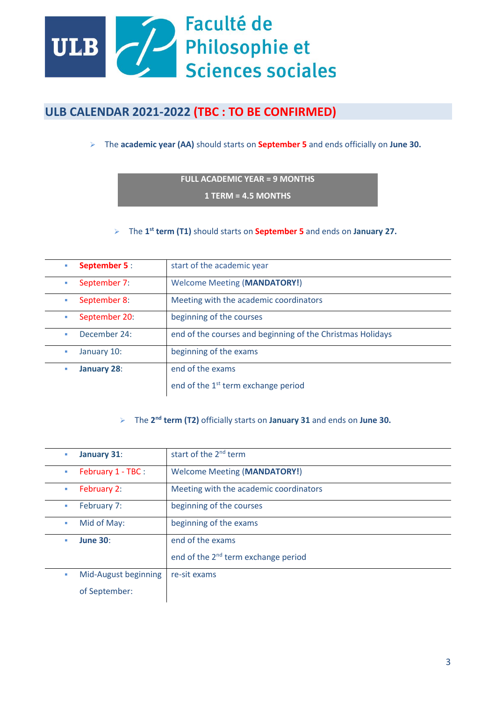

# **ULB CALENDAR 2021-2022 (TBC : TO BE CONFIRMED)**

➢ The **academic year (AA)** should starts on **September 5** and ends officially on **June 30.**

### **FULL ACADEMIC YEAR = 9 MONTHS**

**1 TERM = 4.5 MONTHS**

➢ The **1 st term (T1)** should starts on **September 5** and ends on **January 27.**

| <b>September 5:</b>       | start of the academic year                                 |
|---------------------------|------------------------------------------------------------|
| September 7:<br>×         | <b>Welcome Meeting (MANDATORY!)</b>                        |
| September 8:<br><b>CO</b> | Meeting with the academic coordinators                     |
| September 20:             | beginning of the courses                                   |
| December 24:<br>ш         | end of the courses and beginning of the Christmas Holidays |
| January 10:               | beginning of the exams                                     |
| <b>January 28:</b>        | end of the exams                                           |
|                           | end of the 1 <sup>st</sup> term exchange period            |

#### ➢ The **2 nd term (T2)** officially starts on **January 31** and ends on **June 30.**

| ×  | January 31:          | start of the 2 <sup>nd</sup> term               |
|----|----------------------|-------------------------------------------------|
|    | February 1 - TBC :   | <b>Welcome Meeting (MANDATORY!)</b>             |
| ×  | February 2:          | Meeting with the academic coordinators          |
| m. | February 7:          | beginning of the courses                        |
| ×  | Mid of May:          | beginning of the exams                          |
| u, | <b>June 30:</b>      | end of the exams                                |
|    |                      | end of the 2 <sup>nd</sup> term exchange period |
| ×  | Mid-August beginning | re-sit exams                                    |
|    | of September:        |                                                 |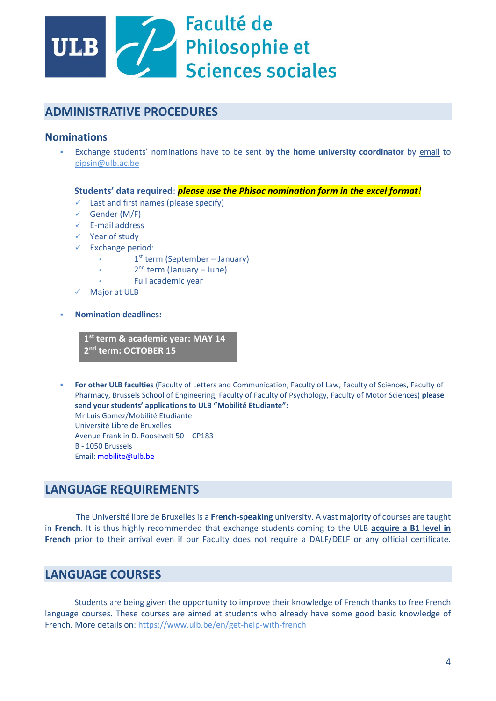

# **ADMINISTRATIVE PROCEDURES**

## **Nominations**

▪ Exchange students' nominations have to be sent **by the home university coordinator** by email to [pipsin@ulb.ac.be](mailto:pipsin@ulb.ac.be)

#### **Students' data required**: *please use the Phisoc nomination form in the excel format!*

- $\checkmark$  Last and first names (please specify)
- $\checkmark$  Gender (M/F)
- ✓ E-mail address
- ✓ Year of study
- Exchange period:
	- 1<sup>st</sup> term (September January)
	- 2<sup>nd</sup> term (January June)
	- Full academic year
- **Major at ULB**
- **Nomination deadlines:**

**1 st term & academic year: MAY 14 2 nd term: OCTOBER 15** 

For other ULB faculties (Faculty of Letters and Communication, Faculty of Law, Faculty of Sciences, Faculty of Pharmacy, Brussels School of Engineering, Faculty of Faculty of Psychology, Faculty of Motor Sciences) **please send your students' applications to ULB "Mobilité Etudiante":** Mr Luis Gomez/Mobilité Etudiante Université Libre de Bruxelles Avenue Franklin D. Roosevelt 50 – CP183 B - 1050 Brussels Email: [mobilite@ulb.be](mailto:mobilite@ulb.be)

## **LANGUAGE REQUIREMENTS**

 The Université libre de Bruxelles is a **French-speaking** university. A vast majority of courses are taught in **French**. It is thus highly recommended that exchange students coming to the ULB **acquire a B1 level in French** prior to their arrival even if our Faculty does not require a DALF/DELF or any official certificate.

# **LANGUAGE COURSES**

Students are being given the opportunity to improve their knowledge of French thanks to free French language courses. These courses are aimed at students who already have some good basic knowledge of French. More details on: https://www.ulb.be/en/get-help-with-french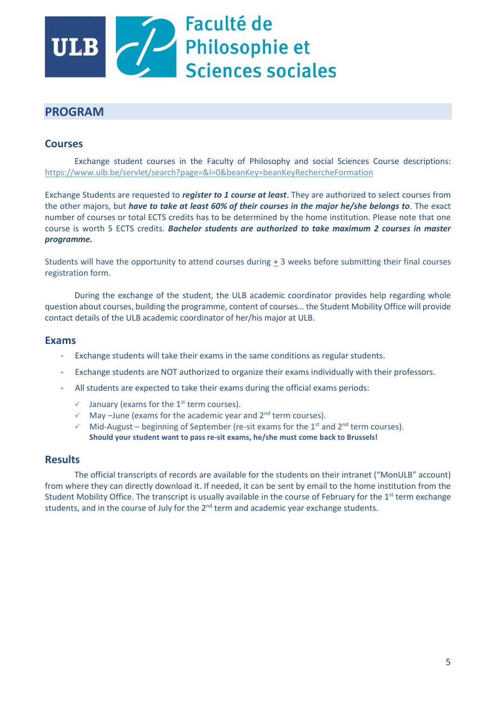

# **PROGRAM**

## **Courses**

Exchange student courses in the Faculty of Philosophy and social Sciences Course descriptions: https://www.ulb.be/servlet/search?page=&l=0&beanKey=beanKeyRechercheFormation

Exchange Students are requested to *register to 1 course at least*. They are authorized to select courses from the other majors, but *have to take at least 60% of their courses in the major he/she belongs to*. The exact number of courses or total ECTS credits has to be determined by the home institution. Please note that one course is worth 5 ECTS credits. *Bachelor students are authorized to take maximum 2 courses in master programme.*

Students will have the opportunity to attend courses during + 3 weeks before submitting their final courses registration form.

During the exchange of the student, the ULB academic coordinator provides help regarding whole question about courses, building the programme, content of courses… the Student Mobility Office will provide contact details of the ULB academic coordinator of her/his major at ULB.

### **Exams**

- Exchange students will take their exams in the same conditions as regular students.
- Exchange students are NOT authorized to organize their exams individually with their professors.
- All students are expected to take their exams during the official exams periods:
	- $\checkmark$  January (exams for the 1<sup>st</sup> term courses).
	- $\checkmark$  May –June (exams for the academic year and 2<sup>nd</sup> term courses).
	- $\checkmark$  Mid-August beginning of September (re-sit exams for the 1<sup>st</sup> and 2<sup>nd</sup> term courses). **Should your student want to pass re-sit exams, he/she must come back to Brussels!**

### **Results**

The official transcripts of records are available for the students on their intranet ("MonULB" account) from where they can directly download it. If needed, it can be sent by email to the home institution from the Student Mobility Office. The transcript is usually available in the course of February for the  $1<sup>st</sup>$  term exchange students, and in the course of July for the  $2<sup>nd</sup>$  term and academic year exchange students.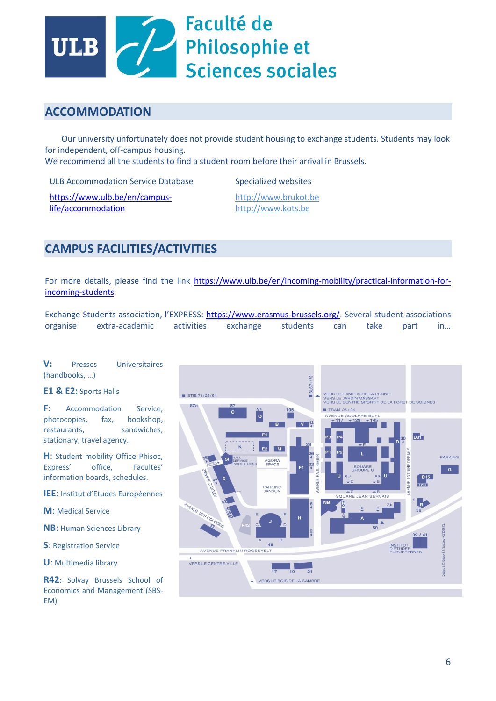

## **ACCOMMODATION**

 Our university unfortunately does not provide student housing to exchange students. Students may look for independent, off-campus housing.

We recommend all the students to find a student room before their arrival in Brussels.

ULB Accommodation Service Database

Specialized websites

[https://www.ulb.be/en/campus](https://www.ulb.be/en/campus-life/accommodation)[life/accommodation](https://www.ulb.be/en/campus-life/accommodation)

http:/[/www.brukot.be](http://www.brukot.be/) [http://www.kots.be](http://www.kots.be/)

# **CAMPUS FACILITIES/ACTIVITIES**

For more details, please find the link [https://www.ulb.be/en/incoming-mobility/practical-information-for](https://www.ulb.be/en/incoming-mobility/practical-information-for-incoming-students)[incoming-students](https://www.ulb.be/en/incoming-mobility/practical-information-for-incoming-students)

Exchange Students association, l'EXPRESS: [https://www.erasmus-brussels.org/.](https://www.erasmus-brussels.org/) Several student associations organise extra-academic activities exchange students can take part in…

**V:** Presses Universitaires (handbooks, …)

#### **E1 & E2:** Sports Halls

**F**: Accommodation Service, photocopies, fax, bookshop, restaurants, sandwiches, stationary, travel agency.

**H**: Student mobility Office Phisoc, Express' office, Facultes' information boards, schedules.

**IEE**: Institut d'Etudes Européennes

**M**: Medical Service

**NB**: Human Sciences Library

**S**: Registration Service

**U**: Multimedia library

**R42**: Solvay Brussels School of Economics and Management (SBS-EM)